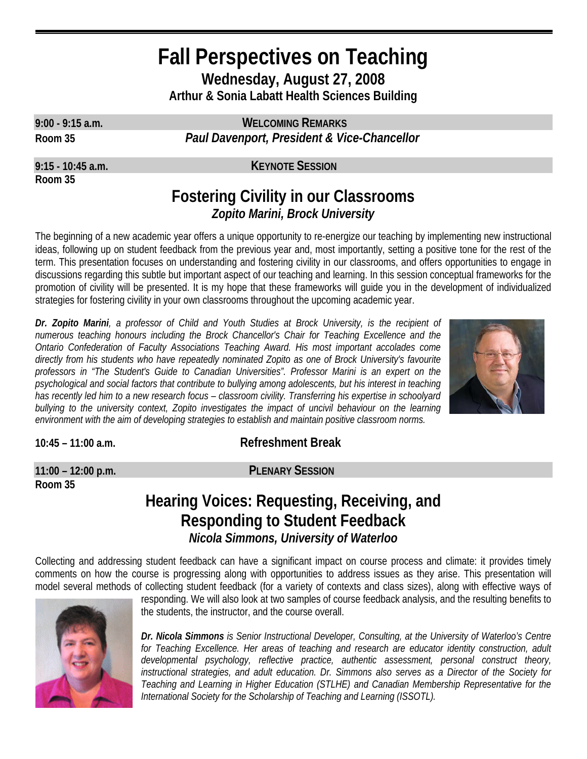# **Fall Perspectives on Teaching Wednesday, August 27, 2008 Arthur & Sonia Labatt Health Sciences Building**

**Room 35**

**9:00 - 9:15 a.m. WELCOMING REMARKS Room 35** *Paul Davenport, President & Vice-Chancellor*

**9:15 - 10:45 a.m. KEYNOTE SESSION**

## **Fostering Civility in our Classrooms**  *Zopito Marini, Brock University*

The beginning of a new academic year offers a unique opportunity to re-energize our teaching by implementing new instructional ideas, following up on student feedback from the previous year and, most importantly, setting a positive tone for the rest of the term. This presentation focuses on understanding and fostering civility in our classrooms, and offers opportunities to engage in discussions regarding this subtle but important aspect of our teaching and learning. In this session conceptual frameworks for the promotion of civility will be presented. It is my hope that these frameworks will guide you in the development of individualized strategies for fostering civility in your own classrooms throughout the upcoming academic year.

*Dr. Zopito Marini, a professor of Child and Youth Studies at Brock University, is the recipient of numerous teaching honours including the Brock Chancellor's Chair for Teaching Excellence and the Ontario Confederation of Faculty Associations Teaching Award. His most important accolades come directly from his students who have repeatedly nominated Zopito as one of Brock University's favourite professors in "The Student's Guide to Canadian Universities". Professor Marini is an expert on the psychological and social factors that contribute to bullying among adolescents, but his interest in teaching has recently led him to a new research focus – classroom civility. Transferring his expertise in schoolyard bullying to the university context, Zopito investigates the impact of uncivil behaviour on the learning environment with the aim of developing strategies to establish and maintain positive classroom norms.* 



**10:45 – 11:00 a.m. Refreshment Break**

**Room 35** 

## **11:00 – 12:00 p.m. PLENARY SESSION**

## **Hearing Voices: Requesting, Receiving, and Responding to Student Feedback** *Nicola Simmons, University of Waterloo*

Collecting and addressing student feedback can have a significant impact on course process and climate: it provides timely comments on how the course is progressing along with opportunities to address issues as they arise. This presentation will model several methods of collecting student feedback (for a variety of contexts and class sizes), along with effective ways of



responding. We will also look at two samples of course feedback analysis, and the resulting benefits to the students, the instructor, and the course overall.

*Dr. Nicola Simmons is Senior Instructional Developer, Consulting, at the University of Waterloo's Centre*  for Teaching Excellence. Her areas of teaching and research are educator identity construction, adult *developmental psychology, reflective practice, authentic assessment, personal construct theory, instructional strategies, and adult education. Dr. Simmons also serves as a Director of the Society for Teaching and Learning in Higher Education (STLHE) and Canadian Membership Representative for the International Society for the Scholarship of Teaching and Learning (ISSOTL).*